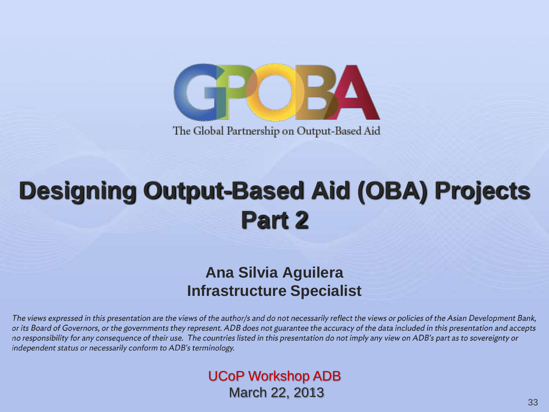

The Global Partnership on Output-Based Aid

## **Designing Output-Based Aid (OBA) Projects Part 2**

#### **Ana Silvia Aguilera Infrastructure Specialist**

The views expressed in this presentation are the views of the author/s and do not necessarily reflect the views or policies of the Asian Development Bank, or its Board of Governors, or the governments they represent. ADB does not guarantee the accuracy of the data included in this presentation and accepts no responsibility for any consequence of their use. The countries listed in this presentation do not imply any view on ADB's part as to sovereignty or independent status or necessarily conform to ADB's terminology.

> UCoP Workshop ADB March 22, 2013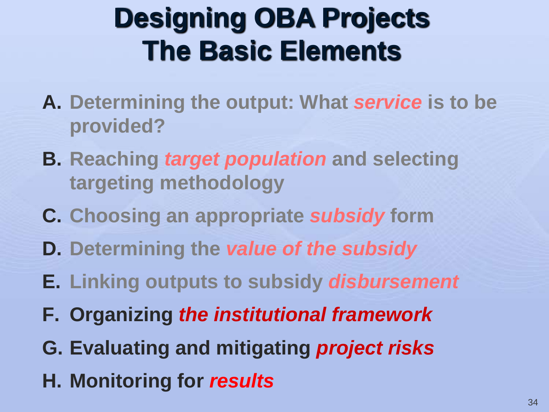# **Designing OBA Projects The Basic Elements**

- **A. Determining the output: What** *service* **is to be provided?**
- **B. Reaching** *target population* **and selecting targeting methodology**
- **C. Choosing an appropriate** *subsidy* **form**
- **D. Determining the** *value of the subsidy*
- **E. Linking outputs to subsidy** *disbursement*
- **F. Organizing** *the institutional framework*
- **G. Evaluating and mitigating** *project risks*
- **H. Monitoring for** *results*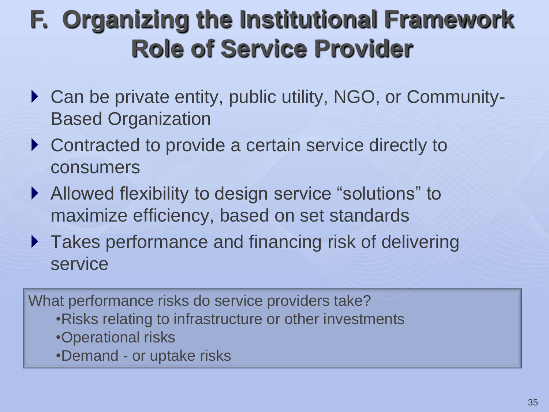#### **F. Organizing the Institutional Framework Role of Service Provider**

- ▶ Can be private entity, public utility, NGO, or Community-Based Organization
- ▶ Contracted to provide a certain service directly to consumers
- Allowed flexibility to design service "solutions" to maximize efficiency, based on set standards
- ▶ Takes performance and financing risk of delivering service

What performance risks do service providers take? •Risks relating to infrastructure or other investments •Operational risks •Demand - or uptake risks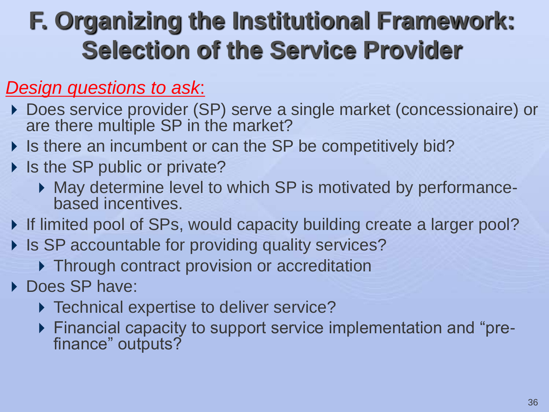### **F. Organizing the Institutional Framework: Selection of the Service Provider**

#### *Design questions to ask*:

- ▶ Does service provider (SP) serve a single market (concessionaire) or are there multiple SP in the market?
- If Is there an incumbent or can the SP be competitively bid?
- ▶ Is the SP public or private?
	- May determine level to which SP is motivated by performancebased incentives.
- If limited pool of SPs, would capacity building create a larger pool?
- ▶ Is SP accountable for providing quality services?
	- ▶ Through contract provision or accreditation
- ▶ Does SP have:
	- ▶ Technical expertise to deliver service?
	- Financial capacity to support service implementation and "prefinance" outputs?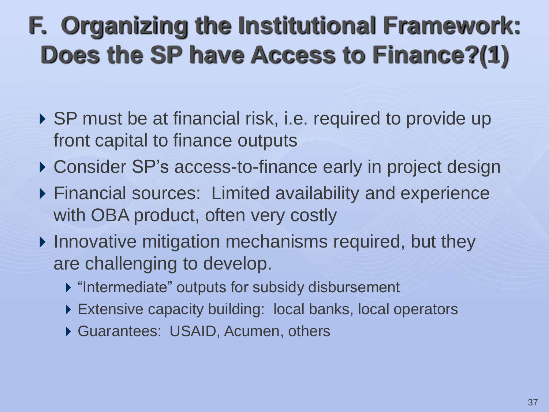## **F. Organizing the Institutional Framework: Does the SP have Access to Finance?(1)**

- ▶ SP must be at financial risk, i.e. required to provide up front capital to finance outputs
- ▶ Consider SP's access-to-finance early in project design
- Financial sources: Limited availability and experience with OBA product, often very costly
- $\triangleright$  Innovative mitigation mechanisms required, but they are challenging to develop.
	- "Intermediate" outputs for subsidy disbursement
	- ▶ Extensive capacity building: local banks, local operators
	- Guarantees: USAID, Acumen, others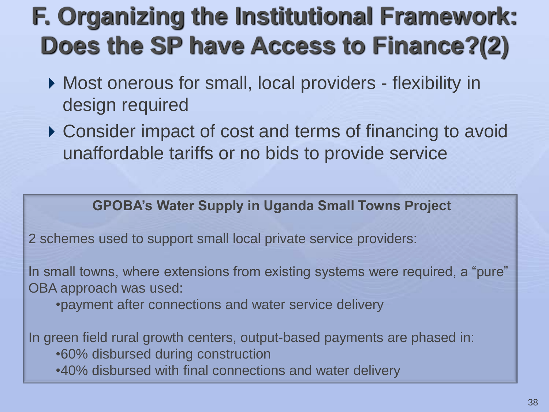#### **F. Organizing the Institutional Framework: Does the SP have Access to Finance?(2)**

- ▶ Most onerous for small, local providers flexibility in design required
- ▶ Consider impact of cost and terms of financing to avoid unaffordable tariffs or no bids to provide service

#### **GPOBA's Water Supply in Uganda Small Towns Project**

2 schemes used to support small local private service providers:

In small towns, where extensions from existing systems were required, a "pure" OBA approach was used:

•payment after connections and water service delivery

In green field rural growth centers, output-based payments are phased in: •60% disbursed during construction

•40% disbursed with final connections and water delivery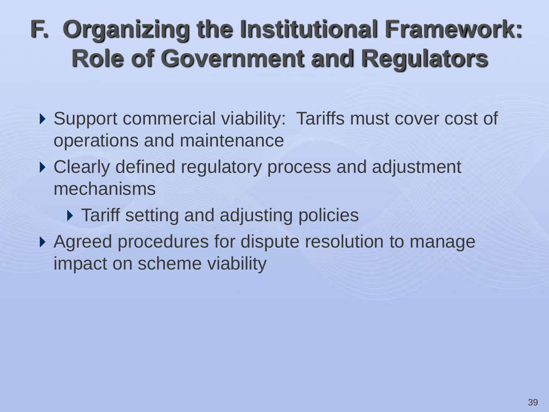#### **F. Organizing the Institutional Framework: Role of Government and Regulators**

- ▶ Support commercial viability: Tariffs must cover cost of operations and maintenance
- ▶ Clearly defined regulatory process and adjustment mechanisms
	- ▶ Tariff setting and adjusting policies
- ▶ Agreed procedures for dispute resolution to manage impact on scheme viability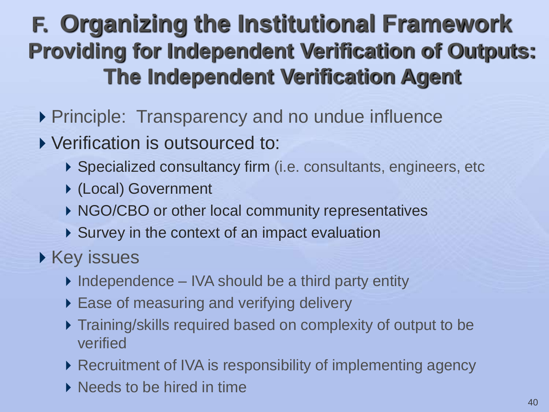#### **F. Organizing the Institutional Framework Providing for Independent Verification of Outputs: The Independent Verification Agent**

▶ Principle: Transparency and no undue influence

Verification is outsourced to:

- ▶ Specialized consultancy firm (i.e. consultants, engineers, etc
- (Local) Government
- ▶ NGO/CBO or other local community representatives
- ▶ Survey in the context of an impact evaluation

▶ Key issues

- $\triangleright$  Independence IVA should be a third party entity
- ▶ Ease of measuring and verifying delivery
- Training/skills required based on complexity of output to be verified
- ▶ Recruitment of IVA is responsibility of implementing agency
- ▶ Needs to be hired in time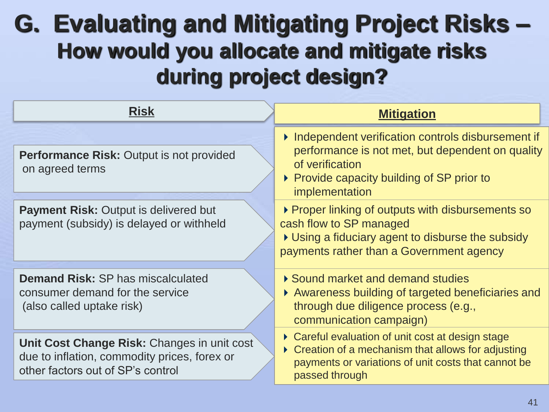#### **G. Evaluating and Mitigating Project Risks – How would you allocate and mitigate risks during project design?**

| <b>Risk</b>                                                                                                                      | <b>Mitigation</b>                                                                                                                                                                        |
|----------------------------------------------------------------------------------------------------------------------------------|------------------------------------------------------------------------------------------------------------------------------------------------------------------------------------------|
| Performance Risk: Output is not provided<br>on agreed terms                                                                      | Independent verification controls disbursement if<br>performance is not met, but dependent on quality<br>of verification<br>▶ Provide capacity building of SP prior to<br>implementation |
| <b>Payment Risk: Output is delivered but</b><br>payment (subsidy) is delayed or withheld                                         | ▶ Proper linking of outputs with disbursements so<br>cash flow to SP managed<br>▶ Using a fiduciary agent to disburse the subsidy<br>payments rather than a Government agency            |
| <b>Demand Risk: SP has miscalculated</b><br>consumer demand for the service<br>(also called uptake risk)                         | ▶ Sound market and demand studies<br>Awareness building of targeted beneficiaries and<br>through due diligence process (e.g.,<br>communication campaign)                                 |
| Unit Cost Change Risk: Changes in unit cost<br>due to inflation, commodity prices, forex or<br>other factors out of SP's control | ▶ Careful evaluation of unit cost at design stage<br>▶ Creation of a mechanism that allows for adjusting<br>payments or variations of unit costs that cannot be<br>passed through        |